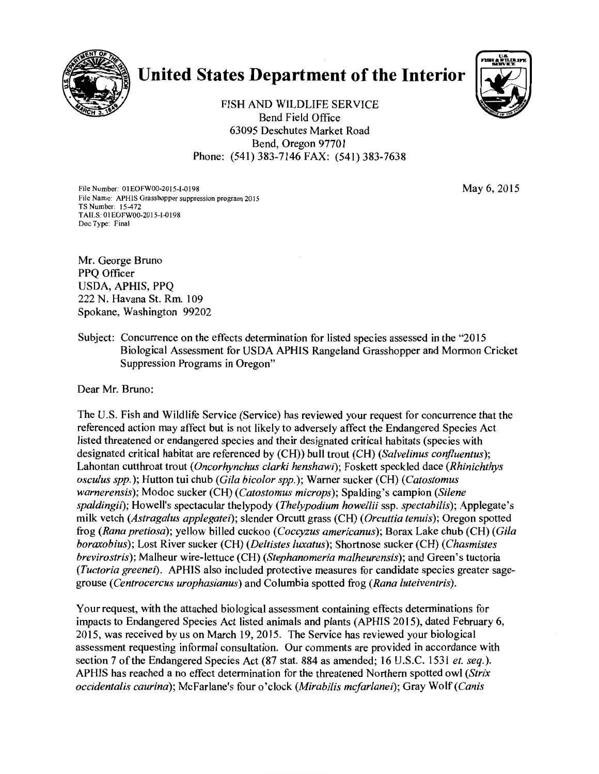

# **United States Department of the Interior**



FISH AND WILDLIFE SERVICE Bend Field Office 63095 Deschutes Market Road Bend, Oregon 97701 Phone: (541) 383-7146 FAX: (541) 383-7638

File Number: 01EOFW00-2015-1-0198 May 6, 2015 File Name: APHIS Grasshopper suppression program 2015 TS Number: 15-472 TAILS: OIEOFW00-2015-1-0198 Doc Type: Final

Mr. George Bruno PPQ Officer USDA, APHIS, PPQ 222 N. Havana St. Rm. 109 Spokane, Washington 99202

Subject: Concurrence on the effects determination for listed species assessed in the "2015 Biological Assessment for USDA APHIS Rangeland Grasshopper and Mormon Cricket Suppression Programs in Oregon"

Dear Mr. Bruno:

The U.S. Fish and Wildlife Service (Service) has reviewed your request for concurrence that the referenced action may affect but is not likely to adversely affect the Endangered Species Act listed threatened or endangered species and their designated critical habitats (species with designated critical habitat are referenced by (CH)) bull trout (CH) *(Salvelinus corifluentus);*  Lahontan cutthroat trout *(Oncorhynchus clarki henshawi);* Foskett speckled dace *(Rhinichthys osculus spp.);* Hutton tui chub *(Gila bicolor spp.);* Warner sucker (CH) *(Catostomus warnerensis);* Modoc sucker (CH) *(Catostomus microps);* Spalding's campion *(Silene spaldingii);* Howell's spectacular thelypody *(Thelypodium howellii* ssp. *spectabilis);* Applegate's milk vetch *(Astragalus applegatei);* slender Orcutt grass (CH) ( *Orcuttia tenuis);* Oregon spotted frog *(Rana pretiosa);* yellow billed cuckoo *(Coccyzus americanus);* Borax Lake chub (CH) *(Gila boraxobius);* Lost River sucker (CH) *(Deltistes luxatus);* Shortnose sucker (CH) *(Chasmistes brevirostris);* Malheur wire-lettuce (CH) *(Stephanomeria malheurensis);* and Green's tuctoria *(Tuctoria greene1).* APHIS also included protective measures for candidate species greater sagegrouse *(Centrocercus urophasianus)* and Columbia spotted frog *(Rana luteiventris).* 

Your request, with the attached biological assessment containing effects determinations for impacts to Endangered Species Act listed animals and plants (APHIS 2015), dated February 6, 2015, was received by us on March 19, 2015. The Service has reviewed your biological assessment requesting informal consultation. Our comments are provided in accordance with section 7 of the Endangered Species Act (87 stat. 884 as amended; 16 U.S.C. 1531 *et. seq.).*  APHIS has reached a no effect determination for the threatened Northern spotted owl *(Strix occidentalis caurina);* McFarlane's four o'clock *(Mirabilis mcfarlanei);* Gray Wolf *(Canis*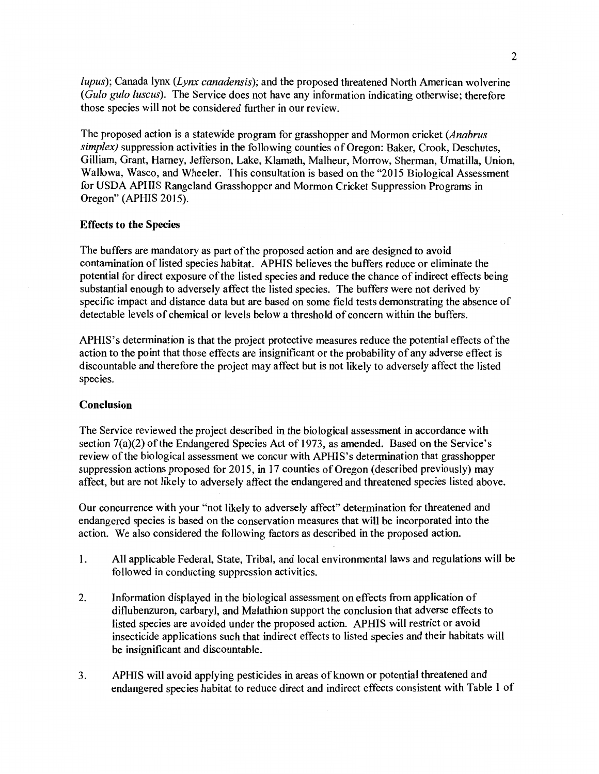*lupus);* Canada lynx *(Lynx canadensis);* and the proposed threatened North American wolverine *(Gulo gulo luscus).* The Service does not have any information indicating otherwise; therefore those species will not be considered further in our review.

The proposed action is a statewide program for grasshopper and Mormon cricket *(Anabrus simplex)* suppression activities in the following counties of Oregon: Baker, Crook, Deschutes, Gilliam, Grant, Harney, Jefferson, Lake, Klamath, Malheur, Morrow, Sherman, Umatilla, Union, Wallowa, Wasco, and Wheeler. This consultation is based on the "2015 Biological Assessment for USDA APHIS Rangeland Grasshopper and Mormon Cricket Suppression Programs in Oregon" (APHIS 2015).

# Effects to the Species

The buffers are mandatory as part of the proposed action and are designed to avoid contamination of listed species habitat. APHIS believes the buffers reduce or eliminate the potential for direct exposure of the listed species and reduce the chance of indirect effects being substantial enough to adversely affect the listed species. The buffers were not derived by specific impact and distance data but are based on some field tests demonstrating the absence of detectable levels of chemical or levels below a threshold of concern within the buffers.

APHIS's determination is that the project protective measures reduce the potential effects of the action to the point that those effects are insignificant or the probability of any adverse effect is discountable and therefore the project may affect but is not likely to adversely affect the listed species.

## Conclusion

The Service reviewed the project described in the biological assessment in accordance with section 7(a)(2) of the Endangered Species Act of 1973, as amended. Based on the Service's review of the biological assessment we concur with APHIS's determination that grasshopper suppression actions proposed for 2015, in 17 counties of Oregon (described previously) may affect, but are not likely to adversely affect the endangered and threatened species listed above.

Our concurrence with your "not likely to adversely affect" determination for threatened and endangered species is based on the conservation measures that will be incorporated into the action. We also considered the following factors as described in the proposed action.

- 1. All applicable Federal, State, Tribal, and local environmental laws and regulations will be followed in conducting suppression activities.
- 2. Information displayed in the biological assessment on effects from application of diflubenzuron, carbaryl, and Malathion support the conclusion that adverse effects to listed species are avoided under the proposed action. APHIS will restrict or avoid insecticide applications such that indirect effects to listed species and their habitats will be insignificant and discountable.
- 3. APHIS will avoid applying pesticides in areas of known or potential threatened and endangered species habitat to reduce direct and indirect effects consistent with Table 1 of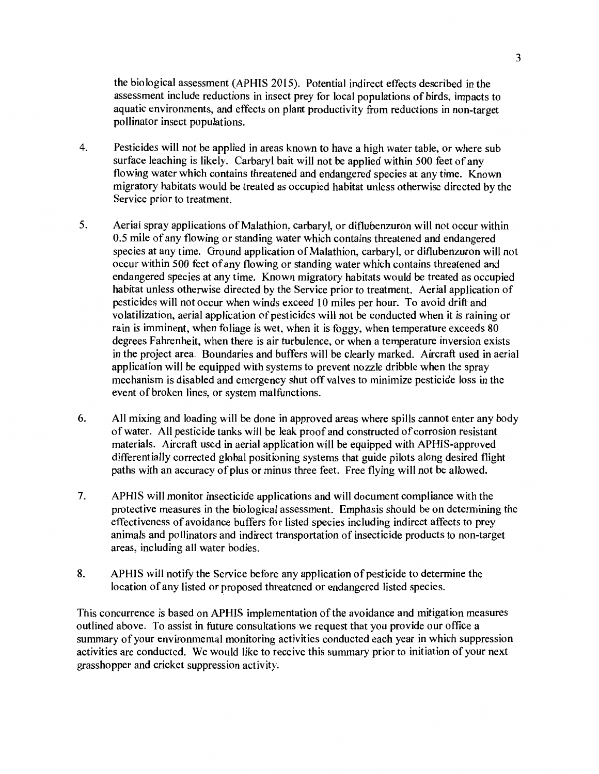the biological assessment (APHIS 2015). Potential indirect effects described in the assessment include reductions in insect prey for local populations of birds, impacts to aquatic environments, and effects on plant productivity from reductions in non-target pollinator insect populations.

- 4. Pesticides will not be applied in areas known to have a high water table, or where sub surface leaching is likely. Carbaryl bait will not be applied within 500 feet of any flowing water which contains threatened and endangered species at any time. Known migratory habitats would be treated as occupied habitat unless otherwise directed by the Service prior to treatment.
- 5. Aerial spray applications of Malathion, carbaryl, or diflubenzuron will not occur within 0.5 mile of any flowing or standing water which contains threatened and endangered species at any time. Ground application of Malathion, carbaryl, or diflubenzuron will not occur within 500 feet of any flowing or standing water which contains threatened and endangered species at any time. Known migratory habitats would be treated as occupied habitat unless otherwise directed by the Service prior to treatment. Aerial application of pesticides will not occur when winds exceed 10 miles per hour. To avoid drift and volatilization, aerial application of pesticides will not be conducted when it is raining or rain is imminent, when foliage is wet, when it is foggy, when temperature exceeds 80 degrees Fahrenheit, when there is air turbulence, or when a temperature inversion exists in the project area. Boundaries and buffers will be clearly marked. Aircraft used in aerial application will be equipped with systems to prevent nozzle dribble when the spray mechanism is disabled and emergency shut off valves to minimize pesticide loss in the event of broken lines, or system malfunctions.
- 6. All mixing and loading will be done in approved areas where spills cannot enter any body of water. All pesticide tanks will be leak proof and constructed of corrosion resistant materials. Aircraft used in aerial application will be equipped with APHIS-approved differentially corrected global positioning systems that guide pilots along desired flight paths with an accuracy of plus or minus three feet. Free flying will not be allowed.
- 7. APHIS will monitor insecticide applications and will document compliance with the protective measures in the biological assessment. Emphasis should be on determining the effectiveness of avoidance buffers for listed species including indirect affects to prey animals and pollinators and indirect transportation of insecticide products to non-target areas, including all water bodies.
- 8. APHIS will notify the Service before any application of pesticide to determine the location of any listed or proposed threatened or endangered listed species.

This concurrence is based on APHIS implementation of the avoidance and mitigation measures outlined above. To assist in future consultations we request that you provide our office a summary of your environmental monitoring activities conducted each year in which suppression activities are conducted. We would like to receive this summary prior to initiation of your next grasshopper and cricket suppression activity.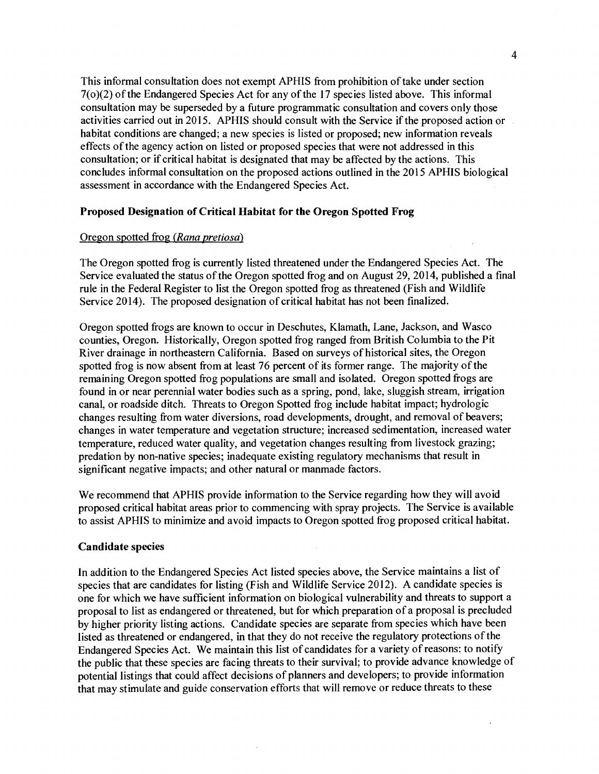This informal consultation does not exempt APHIS from prohibition of take under section 7(o)(2) of the Endangered Species Act for any of the 17 species listed above. This informal consultation may be superseded by a future programmatic consultation and covers only those activities carried out in 2015. AP HIS should consult with the Service if the proposed action or habitat conditions are changed; a new species is listed or proposed; new information reveals effects of the agency action on listed or proposed species that were not addressed in this consultation; or if critical habitat is designated that may be affected by the actions. This concludes informal consultation on the proposed actions outlined in the 2015 APHIS biological assessment in accordance with the Endangered Species Act.

## Proposed Designation of Critical Habitat for the Oregon Spotted Frog

# Oregon spotted frog *(Rana pretiosa)*

The Oregon spotted frog is currently listed threatened under the Endangered Species Act. The Service evaluated the status of the Oregon spotted frog and on August 29, 2014, published a final rule in the Federal Register to list the Oregon spotted frog as threatened (Fish and Wildlife Service 2014). The proposed designation of critical habitat has not been finalized.

Oregon spotted frogs are known to occur in Deschutes, Klamath, Lane, Jackson, and Wasco counties, Oregon. Historically, Oregon spotted frog ranged from British Columbia to the Pit River drainage in northeastern California. Based on surveys of historical sites, the Oregon spotted frog is now absent from at least 76 percent of its former range. The majority of the remaining Oregon spotted frog populations are small and isolated. Oregon spotted frogs are found in or near perennial water bodies such as a spring, pond, lake, sluggish stream, irrigation canal, or roadside ditch. Threats to Oregon Spotted frog include habitat impact; hydrologic changes resulting from water diversions, road developments, drought, and removal of beavers; changes in water temperature and vegetation structure; increased sedimentation, increased water temperature, reduced water quality, and vegetation changes resulting from livestock grazing; predation by non-native species; inadequate existing regulatory mechanisms that result in significant negative impacts; and other natural or manmade factors.

We recommend that APHIS provide information to the Service regarding how they will avoid proposed critical habitat areas prior to commencing with spray projects. The Service is available to assist APHIS to minimize and avoid impacts to Oregon spotted frog proposed critical habitat.

## Candidate species

In addition to the Endangered Species Act listed species above, the Service maintains a list of species that are candidates for listing (Fish and Wildlife Service 2012). A candidate species is one for which we have sufficient information on biological vulnerability and threats to support a proposal to list as endangered or threatened, but for which preparation of a proposal is precluded by higher priority listing actions. Candidate species are separate from species which have been listed as threatened or endangered, in that they do not receive the regulatory protections of the Endangered Species Act. We maintain this list of candidates for a variety of reasons: to notify the public that these species are facing threats to their survival; to provide advance knowledge of potential listings that could affect decisions of planners and developers; to provide information that may stimulate and guide conservation efforts that will remove or reduce threats to these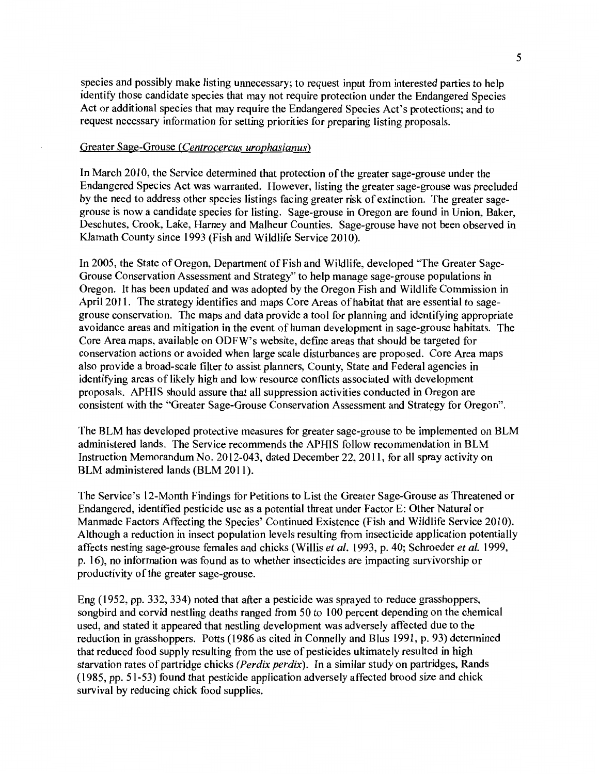species and possibly make listing unnecessary; to request input from interested parties to help identify those candidate species that may not require protection under the Endangered Species Act or additional species that may require the Endangered Species Act's protections; and to request necessary information for setting priorities for preparing listing proposals.

## Greater Sage-Grouse *(Centrocercus urophasianus)*

In March 2010, the Service determined that protection of the greater sage-grouse under the Endangered Species Act was warranted. However, listing the greater sage-grouse was precluded by the need to address other species listings facing greater risk of extinction. The greater sagegrouse is now a candidate species for listing. Sage-grouse in Oregon are found in Union, Baker, Deschutes, Crook, Lake, Harney and Malheur Counties. Sage-grouse have not been observed in Klamath County since 1993 (Fish and Wildlife Service 2010).

In 2005, the State of Oregon, Department of Fish and Wildlife, developed "The Greater Sage-Grouse Conservation Assessment and Strategy" to help manage sage-grouse populations in Oregon. It has been updated and was adopted by the Oregon Fish and Wildlife Commission in April 2011. The strategy identifies and maps Core Areas of habitat that are essential to sagegrouse conservation. The maps and data provide a tool for planning and identifying appropriate avoidance areas and mitigation in the event of human development in sage-grouse habitats. The Core Area maps, available on ODFW's website, define areas that should be targeted for conservation actions or avoided when large scale disturbances are proposed. Core Area maps also provide a broad-scale filter to assist planners, County, State and Federal agencies in identifying areas of likely high and low resource conflicts associated with development proposals. APHIS should assure that all suppression activities conducted in Oregon are consistent with the "Greater Sage-Grouse Conservation Assessment and Strategy for Oregon".

The BLM has developed protective measures for greater sage-grouse to be implemented on BLM administered lands. The Service recommends the APHIS follow recommendation in BLM Instruction Memorandum No. 2012-043, dated December 22, 2011, for all spray activity on BLM administered lands (BLM 2011).

The Service's 12-Month Findings for Petitions to List the Greater Sage-Grouse as Threatened or Endangered, identified pesticide use as a potential threat under Factor E: Other Natural or Manmade Factors Affecting the Species' Continued Existence (Fish and Wildlife Service 2010). Although a reduction in insect population levels resulting from insecticide application potentially affects nesting sage-grouse females and chicks (Willis *et al.* 1993, p. 40; Schroeder *et al.* 1999, p. 16), no information was found as to whether insecticides are impacting survivorship or productivity of the greater sage-grouse.

Eng (1952, pp. 332, 334) noted that after a pesticide was sprayed to reduce grasshoppers, songbird and corvid nestling deaths ranged from 50 to 100 percent depending on the chemical used, and stated it appeared that nestling development was adversely affected due to the reduction in grasshoppers. Potts (1986 as cited in Connelly and Blus 1991, p. 93) determined that reduced food supply resulting from the use of pesticides ultimately resulted in high starvation rates of partridge chicks *(Perdix perdix).* In a similar study on partridges, Rands (1985, pp. 51-53) found that pesticide application adversely affected brood size and chick survival by reducing chick food supplies.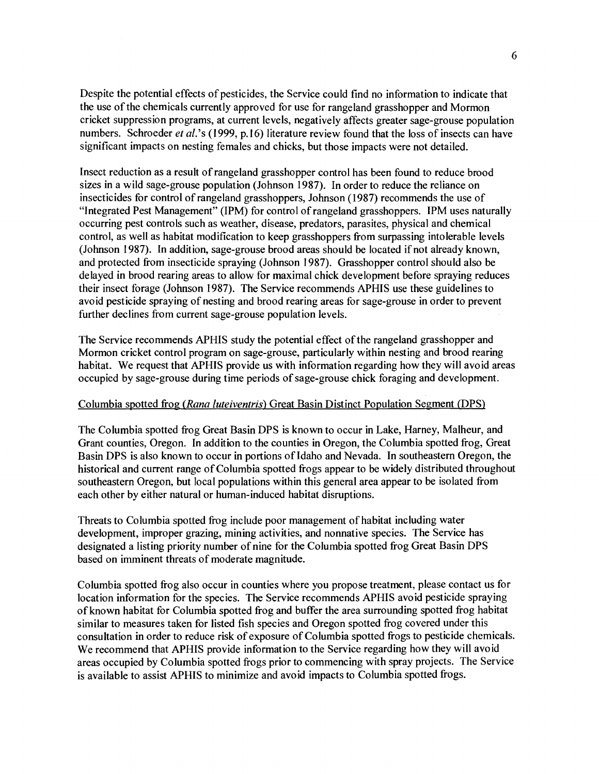Despite the potential effects of pesticides, the Service could find no information to indicate that the use of the chemicals currently approved for use for rangeland grasshopper and Mormon cricket suppression programs, at current levels, negatively affects greater sage-grouse population numbers. Schroeder *et al.*'s (1999, p.16) literature review found that the loss of insects can have significant impacts on nesting females and chicks, but those impacts were not detailed.

Insect reduction as a result of rangeland grasshopper control has been found to reduce brood sizes in a wild sage-grouse population (Johnson 1987). In order to reduce the reliance on insecticides for control of rangeland grasshoppers, Johnson (1987) recommends the use of "Integrated Pest Management" (IPM) for control of rangeland grasshoppers. IPM uses naturally occurring pest controls such as weather, disease, predators, parasites, physical and chemical control, as well as habitat modification to keep grasshoppers from surpassing intolerable levels (Johnson 1987). In addition, sage-grouse brood areas should be located if not already known, and protected from insecticide spraying (Johnson 1987). Grasshopper control should also be delayed in brood rearing areas to allow for maximal chick development before spraying reduces their insect forage (Johnson 1987). The Service recommends APHIS use these guidelines to avoid pesticide spraying of nesting and brood rearing areas for sage-grouse in order to prevent further declines from current sage-grouse population levels.

The Service recommends APHIS study the potential effect of the rangeland grasshopper and Mormon cricket control program on sage-grouse, particularly within nesting and brood rearing habitat. We request that APHIS provide us with information regarding how they will avoid areas occupied by sage-grouse during time periods of sage-grouse chick foraging and development.

# Columbia spotted frog *(Rana luteiventris)* Great Basin Distinct Population Segment (DPS)

The Columbia spotted frog Great Basin DPS is known to occur in Lake, Harney, Malheur, and Grant counties, Oregon. In addition to the counties in Oregon, the Columbia spotted frog, Great Basin DPS is also known to occur in portions of Idaho and Nevada. In southeastern Oregon, the historical and current range of Columbia spotted frogs appear to be widely distributed throughout southeastern Oregon, but local populations within this general area appear to be isolated from each other by either natural or human-induced habitat disruptions.

Threats to Columbia spotted frog include poor management of habitat including water development, improper grazing, mining activities, and nonnative species. The Service has designated a listing priority number of nine for the Columbia spotted frog Great Basin DPS based on imminent threats of moderate magnitude.

Columbia spotted frog also occur in counties where you propose treatment, please contact us for location information for the species. The Service recommends APHIS avoid pesticide spraying of known habitat for Columbia spotted frog and buffer the area surrounding spotted frog habitat similar to measures taken for listed fish species and Oregon spotted frog covered under this consultation in order to reduce risk of exposure of Columbia spotted frogs to pesticide chemicals. We recommend that APHIS provide information to the Service regarding how they will avoid areas occupied by Columbia spotted frogs prior to commencing with spray projects. The Service is available to assist APHIS to minimize and avoid impacts to Columbia spotted frogs.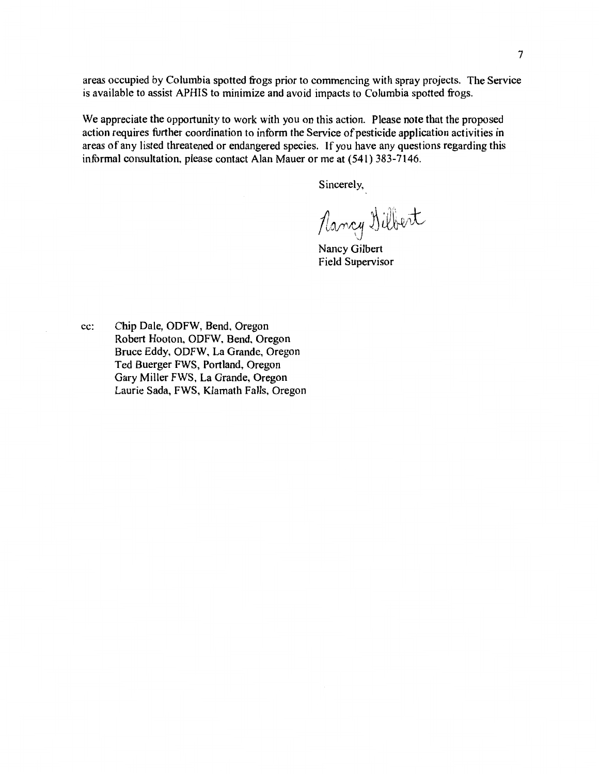areas occupied by Columbia spotted frogs prior to commencing with spray projects. The Service is available to assist APHIS to minimize and avoid impacts to Columbia spotted frogs.

We appreciate the opportunity to work with you on this action. Please note that the proposed action requires further coordination to inform the Service of pesticide application activities in areas of any listed threatened or endangered species. If you have any questions regarding this informal consultation, please contact Alan Mauer or me at (541) 383-7146.

Sincerely,

Nancy Dilbert

Nancy Gilbert Field Supervisor

cc: Chip Dale, ODFW, Bend, Oregon Robert Hooton, ODFW. Bend. Oregon Bruce Eddy, ODFW. La Grande, Oregon Ted Buerger FWS, Portland, Oregon Gary Miller FWS, La Grande, Oregon Laurie Sada, FWS, Klamath Falls, Oregon